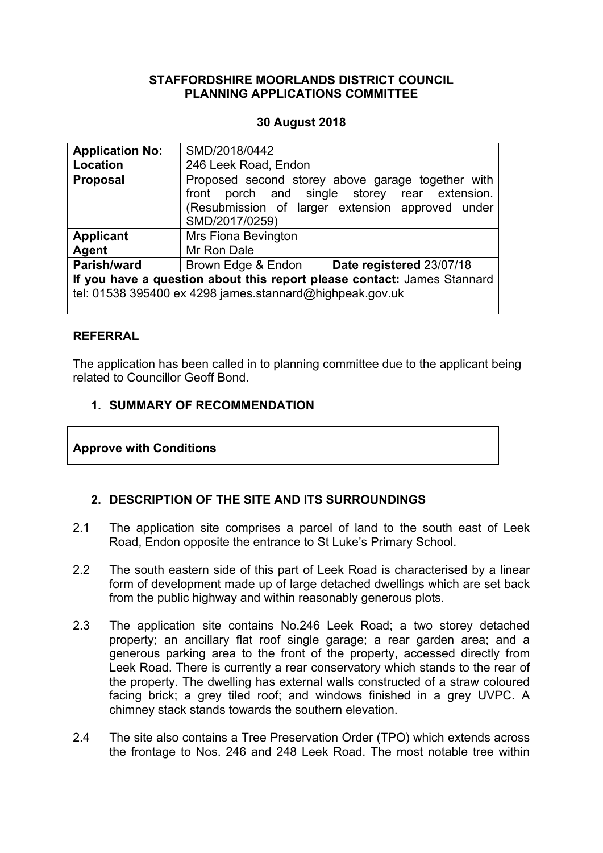#### **STAFFORDSHIRE MOORLANDS DISTRICT COUNCIL PLANNING APPLICATIONS COMMITTEE**

#### **30 August 2018**

| <b>Application No:</b>                                                                                                              | SMD/2018/0442        |                                                                                                                                                        |  |
|-------------------------------------------------------------------------------------------------------------------------------------|----------------------|--------------------------------------------------------------------------------------------------------------------------------------------------------|--|
| Location                                                                                                                            | 246 Leek Road, Endon |                                                                                                                                                        |  |
| <b>Proposal</b>                                                                                                                     | SMD/2017/0259)       | Proposed second storey above garage together with<br>front porch and single storey rear extension.<br>(Resubmission of larger extension approved under |  |
| <b>Applicant</b>                                                                                                                    | Mrs Fiona Bevington  |                                                                                                                                                        |  |
| Agent                                                                                                                               | Mr Ron Dale          |                                                                                                                                                        |  |
| Parish/ward                                                                                                                         | Brown Edge & Endon   | Date registered 23/07/18                                                                                                                               |  |
| If you have a question about this report please contact: James Stannard<br>tel: 01538 395400 ex 4298 james.stannard@highpeak.gov.uk |                      |                                                                                                                                                        |  |

#### **REFERRAL**

The application has been called in to planning committee due to the applicant being related to Councillor Geoff Bond.

### **1. SUMMARY OF RECOMMENDATION**

#### **Approve with Conditions**

#### **2. DESCRIPTION OF THE SITE AND ITS SURROUNDINGS**

- 2.1 The application site comprises a parcel of land to the south east of Leek Road, Endon opposite the entrance to St Luke's Primary School.
- 2.2 The south eastern side of this part of Leek Road is characterised by a linear form of development made up of large detached dwellings which are set back from the public highway and within reasonably generous plots.
- 2.3 The application site contains No.246 Leek Road; a two storey detached property; an ancillary flat roof single garage; a rear garden area; and a generous parking area to the front of the property, accessed directly from Leek Road. There is currently a rear conservatory which stands to the rear of the property. The dwelling has external walls constructed of a straw coloured facing brick; a grey tiled roof; and windows finished in a grey UVPC. A chimney stack stands towards the southern elevation.
- 2.4 The site also contains a Tree Preservation Order (TPO) which extends across the frontage to Nos. 246 and 248 Leek Road. The most notable tree within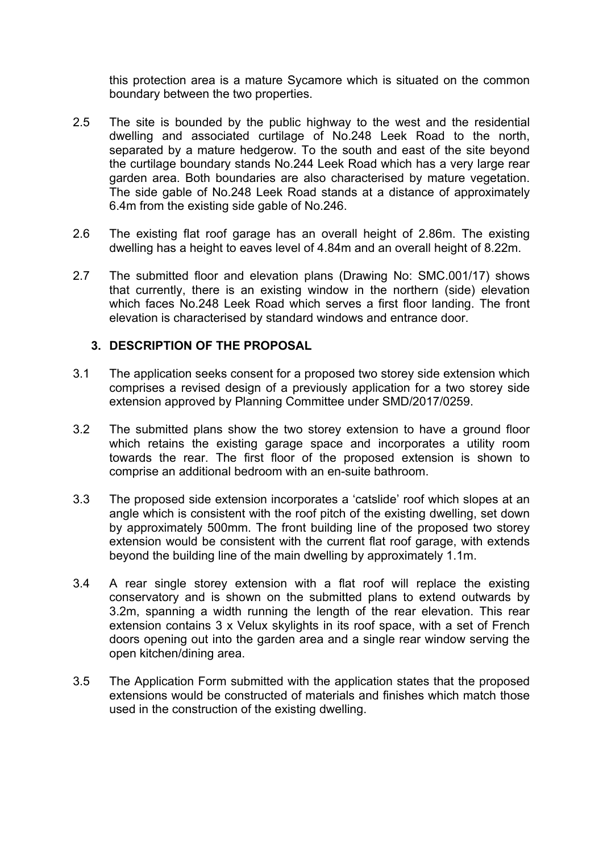this protection area is a mature Sycamore which is situated on the common boundary between the two properties.

- 2.5 The site is bounded by the public highway to the west and the residential dwelling and associated curtilage of No.248 Leek Road to the north, separated by a mature hedgerow. To the south and east of the site beyond the curtilage boundary stands No.244 Leek Road which has a very large rear garden area. Both boundaries are also characterised by mature vegetation. The side gable of No.248 Leek Road stands at a distance of approximately 6.4m from the existing side gable of No.246.
- 2.6 The existing flat roof garage has an overall height of 2.86m. The existing dwelling has a height to eaves level of 4.84m and an overall height of 8.22m.
- 2.7 The submitted floor and elevation plans (Drawing No: SMC.001/17) shows that currently, there is an existing window in the northern (side) elevation which faces No.248 Leek Road which serves a first floor landing. The front elevation is characterised by standard windows and entrance door.

#### **3. DESCRIPTION OF THE PROPOSAL**

- 3.1 The application seeks consent for a proposed two storey side extension which comprises a revised design of a previously application for a two storey side extension approved by Planning Committee under SMD/2017/0259.
- 3.2 The submitted plans show the two storey extension to have a ground floor which retains the existing garage space and incorporates a utility room towards the rear. The first floor of the proposed extension is shown to comprise an additional bedroom with an en-suite bathroom.
- 3.3 The proposed side extension incorporates a 'catslide' roof which slopes at an angle which is consistent with the roof pitch of the existing dwelling, set down by approximately 500mm. The front building line of the proposed two storey extension would be consistent with the current flat roof garage, with extends beyond the building line of the main dwelling by approximately 1.1m.
- 3.4 A rear single storey extension with a flat roof will replace the existing conservatory and is shown on the submitted plans to extend outwards by 3.2m, spanning a width running the length of the rear elevation. This rear extension contains 3 x Velux skylights in its roof space, with a set of French doors opening out into the garden area and a single rear window serving the open kitchen/dining area.
- 3.5 The Application Form submitted with the application states that the proposed extensions would be constructed of materials and finishes which match those used in the construction of the existing dwelling.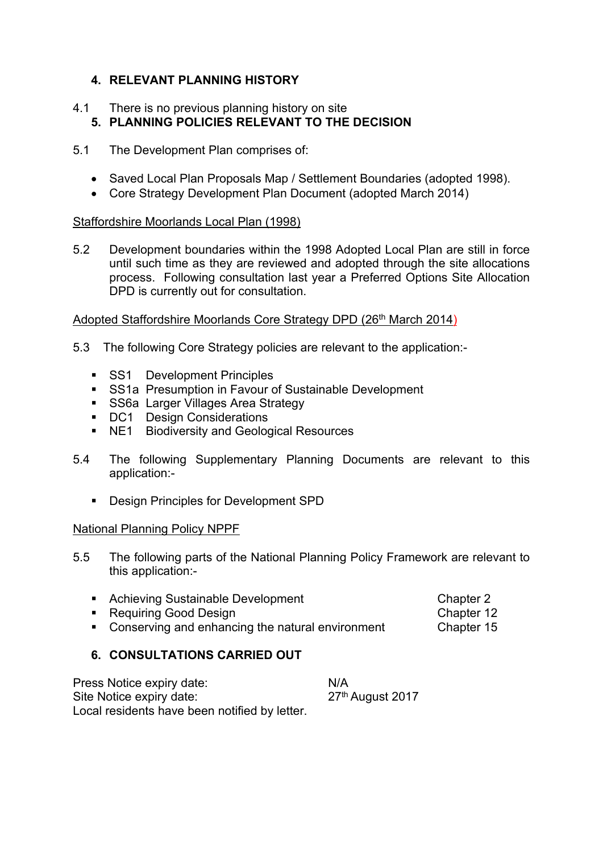# **4. RELEVANT PLANNING HISTORY**

#### 4.1 There is no previous planning history on site **5. PLANNING POLICIES RELEVANT TO THE DECISION**

- 5.1 The Development Plan comprises of:
	- Saved Local Plan Proposals Map / Settlement Boundaries (adopted 1998).
	- Core Strategy Development Plan Document (adopted March 2014)

#### Staffordshire Moorlands Local Plan (1998)

5.2 Development boundaries within the 1998 Adopted Local Plan are still in force until such time as they are reviewed and adopted through the site allocations process. Following consultation last year a Preferred Options Site Allocation DPD is currently out for consultation.

#### Adopted Staffordshire Moorlands Core Strategy DPD (26<sup>th</sup> March 2014)

- 5.3 The following Core Strategy policies are relevant to the application:-
	- **SS1** Development Principles
	- **SS1a Presumption in Favour of Sustainable Development**
	- **SS6a Larger Villages Area Strategy**
	- **DC1** Design Considerations
	- **NE1** Biodiversity and Geological Resources
- 5.4 The following Supplementary Planning Documents are relevant to this application:-
	- **Design Principles for Development SPD**

#### National Planning Policy NPPF

- 5.5 The following parts of the National Planning Policy Framework are relevant to this application:-
	- Achieving Sustainable Development Chapter 2 ■ Requiring Good Design Chapter 12
	- Conserving and enhancing the natural environment Chapter 15

## **6. CONSULTATIONS CARRIED OUT**

| Press Notice expiry date:                     | N/A                          |
|-----------------------------------------------|------------------------------|
| Site Notice expiry date:                      | 27 <sup>th</sup> August 2017 |
| Local residents have been notified by letter. |                              |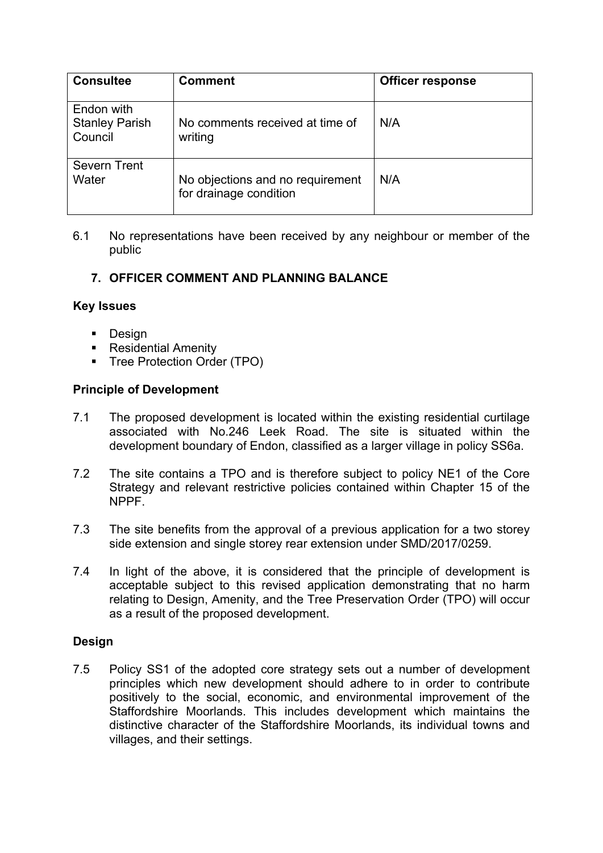| <b>Consultee</b>                               | <b>Comment</b>                                             | <b>Officer response</b> |
|------------------------------------------------|------------------------------------------------------------|-------------------------|
| Endon with<br><b>Stanley Parish</b><br>Council | No comments received at time of<br>writing                 | N/A                     |
| <b>Severn Trent</b><br>Water                   | No objections and no requirement<br>for drainage condition | N/A                     |

6.1 No representations have been received by any neighbour or member of the public

## **7. OFFICER COMMENT AND PLANNING BALANCE**

#### **Key Issues**

- **Design**
- Residential Amenity
- **Tree Protection Order (TPO)**

## **Principle of Development**

- 7.1 The proposed development is located within the existing residential curtilage associated with No.246 Leek Road. The site is situated within the development boundary of Endon, classified as a larger village in policy SS6a.
- 7.2 The site contains a TPO and is therefore subject to policy NE1 of the Core Strategy and relevant restrictive policies contained within Chapter 15 of the NPPF.
- 7.3 The site benefits from the approval of a previous application for a two storey side extension and single storey rear extension under SMD/2017/0259.
- 7.4 In light of the above, it is considered that the principle of development is acceptable subject to this revised application demonstrating that no harm relating to Design, Amenity, and the Tree Preservation Order (TPO) will occur as a result of the proposed development.

#### **Design**

7.5 Policy SS1 of the adopted core strategy sets out a number of development principles which new development should adhere to in order to contribute positively to the social, economic, and environmental improvement of the Staffordshire Moorlands. This includes development which maintains the distinctive character of the Staffordshire Moorlands, its individual towns and villages, and their settings.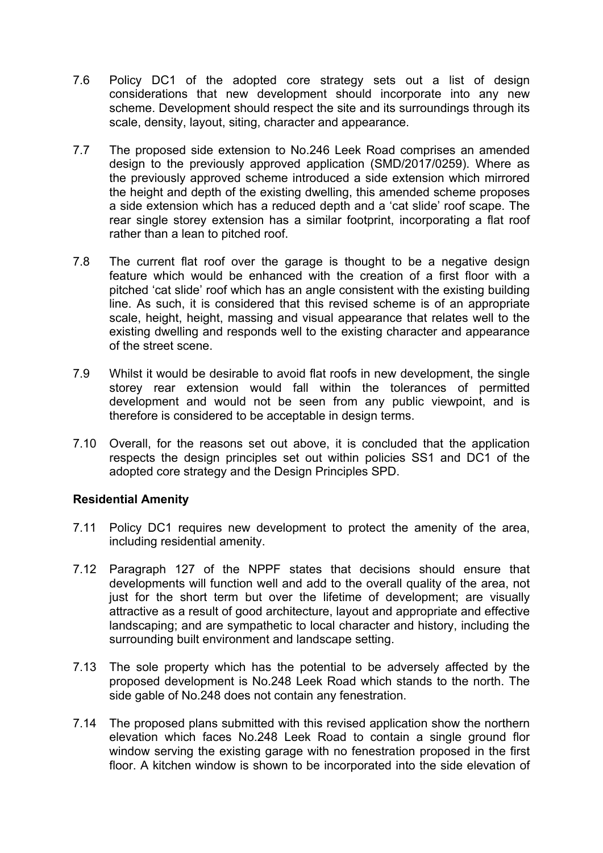- 7.6 Policy DC1 of the adopted core strategy sets out a list of design considerations that new development should incorporate into any new scheme. Development should respect the site and its surroundings through its scale, density, layout, siting, character and appearance.
- 7.7 The proposed side extension to No.246 Leek Road comprises an amended design to the previously approved application (SMD/2017/0259). Where as the previously approved scheme introduced a side extension which mirrored the height and depth of the existing dwelling, this amended scheme proposes a side extension which has a reduced depth and a 'cat slide' roof scape. The rear single storey extension has a similar footprint, incorporating a flat roof rather than a lean to pitched roof.
- 7.8 The current flat roof over the garage is thought to be a negative design feature which would be enhanced with the creation of a first floor with a pitched 'cat slide' roof which has an angle consistent with the existing building line. As such, it is considered that this revised scheme is of an appropriate scale, height, height, massing and visual appearance that relates well to the existing dwelling and responds well to the existing character and appearance of the street scene.
- 7.9 Whilst it would be desirable to avoid flat roofs in new development, the single storey rear extension would fall within the tolerances of permitted development and would not be seen from any public viewpoint, and is therefore is considered to be acceptable in design terms.
- 7.10 Overall, for the reasons set out above, it is concluded that the application respects the design principles set out within policies SS1 and DC1 of the adopted core strategy and the Design Principles SPD.

#### **Residential Amenity**

- 7.11 Policy DC1 requires new development to protect the amenity of the area, including residential amenity.
- 7.12 Paragraph 127 of the NPPF states that decisions should ensure that developments will function well and add to the overall quality of the area, not just for the short term but over the lifetime of development; are visually attractive as a result of good architecture, layout and appropriate and effective landscaping; and are sympathetic to local character and history, including the surrounding built environment and landscape setting.
- 7.13 The sole property which has the potential to be adversely affected by the proposed development is No.248 Leek Road which stands to the north. The side gable of No.248 does not contain any fenestration.
- 7.14 The proposed plans submitted with this revised application show the northern elevation which faces No.248 Leek Road to contain a single ground flor window serving the existing garage with no fenestration proposed in the first floor. A kitchen window is shown to be incorporated into the side elevation of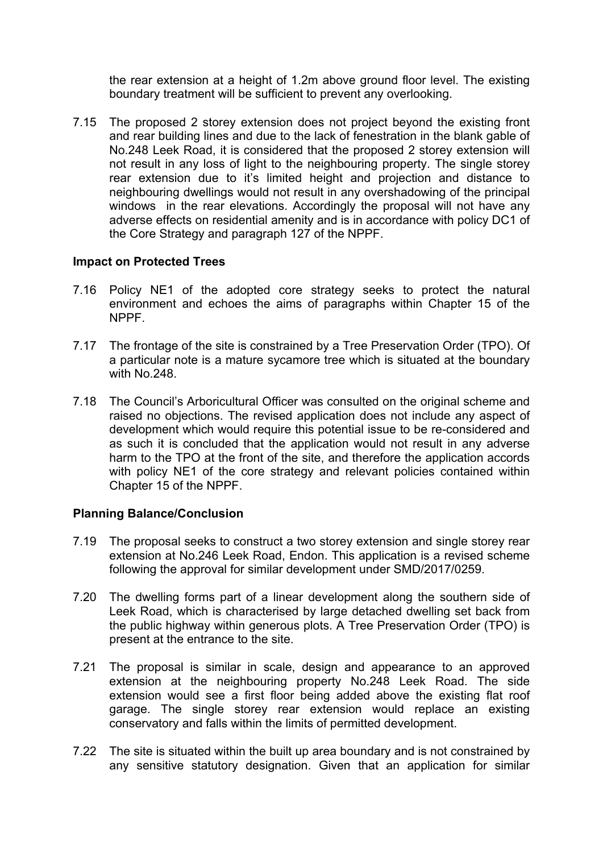the rear extension at a height of 1.2m above ground floor level. The existing boundary treatment will be sufficient to prevent any overlooking.

7.15 The proposed 2 storey extension does not project beyond the existing front and rear building lines and due to the lack of fenestration in the blank gable of No.248 Leek Road, it is considered that the proposed 2 storey extension will not result in any loss of light to the neighbouring property. The single storey rear extension due to it's limited height and projection and distance to neighbouring dwellings would not result in any overshadowing of the principal windows in the rear elevations. Accordingly the proposal will not have any adverse effects on residential amenity and is in accordance with policy DC1 of the Core Strategy and paragraph 127 of the NPPF.

### **Impact on Protected Trees**

- 7.16 Policy NE1 of the adopted core strategy seeks to protect the natural environment and echoes the aims of paragraphs within Chapter 15 of the NPPF.
- 7.17 The frontage of the site is constrained by a Tree Preservation Order (TPO). Of a particular note is a mature sycamore tree which is situated at the boundary with No.248.
- 7.18 The Council's Arboricultural Officer was consulted on the original scheme and raised no objections. The revised application does not include any aspect of development which would require this potential issue to be re-considered and as such it is concluded that the application would not result in any adverse harm to the TPO at the front of the site, and therefore the application accords with policy NE1 of the core strategy and relevant policies contained within Chapter 15 of the NPPF.

#### **Planning Balance/Conclusion**

- 7.19 The proposal seeks to construct a two storey extension and single storey rear extension at No.246 Leek Road, Endon. This application is a revised scheme following the approval for similar development under SMD/2017/0259.
- 7.20 The dwelling forms part of a linear development along the southern side of Leek Road, which is characterised by large detached dwelling set back from the public highway within generous plots. A Tree Preservation Order (TPO) is present at the entrance to the site.
- 7.21 The proposal is similar in scale, design and appearance to an approved extension at the neighbouring property No.248 Leek Road. The side extension would see a first floor being added above the existing flat roof garage. The single storey rear extension would replace an existing conservatory and falls within the limits of permitted development.
- 7.22 The site is situated within the built up area boundary and is not constrained by any sensitive statutory designation. Given that an application for similar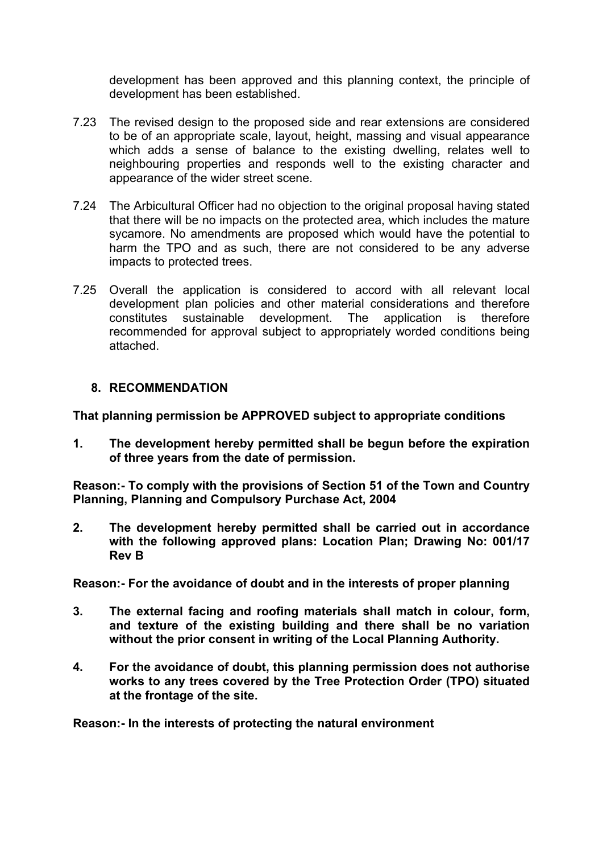development has been approved and this planning context, the principle of development has been established.

- 7.23 The revised design to the proposed side and rear extensions are considered to be of an appropriate scale, layout, height, massing and visual appearance which adds a sense of balance to the existing dwelling, relates well to neighbouring properties and responds well to the existing character and appearance of the wider street scene.
- 7.24 The Arbicultural Officer had no objection to the original proposal having stated that there will be no impacts on the protected area, which includes the mature sycamore. No amendments are proposed which would have the potential to harm the TPO and as such, there are not considered to be any adverse impacts to protected trees.
- 7.25 Overall the application is considered to accord with all relevant local development plan policies and other material considerations and therefore constitutes sustainable development. The application is therefore recommended for approval subject to appropriately worded conditions being attached.

#### **8. RECOMMENDATION**

**That planning permission be APPROVED subject to appropriate conditions**

**1. The development hereby permitted shall be begun before the expiration of three years from the date of permission.**

**Reason:- To comply with the provisions of Section 51 of the Town and Country Planning, Planning and Compulsory Purchase Act, 2004**

**2. The development hereby permitted shall be carried out in accordance with the following approved plans: Location Plan; Drawing No: 001/17 Rev B**

**Reason:- For the avoidance of doubt and in the interests of proper planning**

- **3. The external facing and roofing materials shall match in colour, form, and texture of the existing building and there shall be no variation without the prior consent in writing of the Local Planning Authority.**
- **4. For the avoidance of doubt, this planning permission does not authorise works to any trees covered by the Tree Protection Order (TPO) situated at the frontage of the site.**

**Reason:- In the interests of protecting the natural environment**